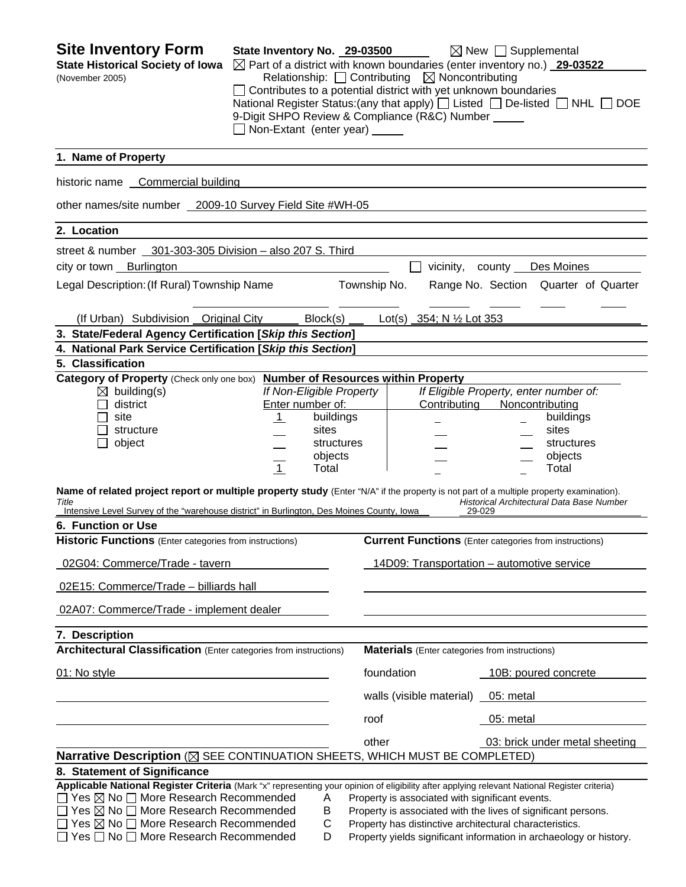| <b>Site Inventory Form</b><br><b>State Historical Society of Iowa</b>                                                                                                        | State Inventory No. 29-03500  |                          | Relationship: $\Box$ Contributing $\boxtimes$ Noncontributing                                                                 | $\boxtimes$ New $\Box$ Supplemental<br>$\boxtimes$ Part of a district with known boundaries (enter inventory no.) 29-03522    |
|------------------------------------------------------------------------------------------------------------------------------------------------------------------------------|-------------------------------|--------------------------|-------------------------------------------------------------------------------------------------------------------------------|-------------------------------------------------------------------------------------------------------------------------------|
| (November 2005)                                                                                                                                                              | Non-Extant (enter year) _____ |                          | $\Box$ Contributes to a potential district with yet unknown boundaries<br>9-Digit SHPO Review & Compliance (R&C) Number _____ | National Register Status: (any that apply) $\Box$ Listed $\Box$ De-listed $\Box$ NHL $\Box$ DOE                               |
| 1. Name of Property                                                                                                                                                          |                               |                          |                                                                                                                               |                                                                                                                               |
| historic name Commercial building                                                                                                                                            |                               |                          |                                                                                                                               |                                                                                                                               |
| other names/site number 2009-10 Survey Field Site #WH-05                                                                                                                     |                               |                          |                                                                                                                               |                                                                                                                               |
| 2. Location                                                                                                                                                                  |                               |                          |                                                                                                                               |                                                                                                                               |
| street & number 301-303-305 Division - also 207 S. Third                                                                                                                     |                               |                          |                                                                                                                               |                                                                                                                               |
| city or town Burlington                                                                                                                                                      |                               |                          | vicinity, county ___                                                                                                          | Des Moines                                                                                                                    |
| Legal Description: (If Rural) Township Name                                                                                                                                  |                               | Township No.             |                                                                                                                               | Range No. Section Quarter of Quarter                                                                                          |
| (If Urban) Subdivision Original City                                                                                                                                         |                               | Block(s)                 | Lot(s) 354; N $\frac{1}{2}$ Lot 353                                                                                           |                                                                                                                               |
| 3. State/Federal Agency Certification [Skip this Section]                                                                                                                    |                               |                          |                                                                                                                               |                                                                                                                               |
| 4. National Park Service Certification [Skip this Section]                                                                                                                   |                               |                          |                                                                                                                               |                                                                                                                               |
| 5. Classification                                                                                                                                                            |                               |                          |                                                                                                                               |                                                                                                                               |
| Category of Property (Check only one box) Number of Resources within Property<br>$\boxtimes$ building(s)                                                                     |                               | If Non-Eligible Property |                                                                                                                               | If Eligible Property, enter number of:                                                                                        |
| district                                                                                                                                                                     | Enter number of:              |                          | Contributing                                                                                                                  | Noncontributing                                                                                                               |
| site                                                                                                                                                                         | $\overline{1}$                | buildings                |                                                                                                                               | buildings                                                                                                                     |
| structure                                                                                                                                                                    |                               | sites                    |                                                                                                                               | sites                                                                                                                         |
| object                                                                                                                                                                       |                               | structures<br>objects    |                                                                                                                               | structures<br>objects                                                                                                         |
|                                                                                                                                                                              | $\overline{1}$                | Total                    |                                                                                                                               | Total                                                                                                                         |
| Name of related project report or multiple property study (Enter "N/A" if the property is not part of a multiple property examination).<br>Title                             |                               |                          |                                                                                                                               | Historical Architectural Data Base Number<br>29-029                                                                           |
| Intensive Level Survey of the "warehouse district" in Burlington, Des Moines County, Iowa<br>6. Function or Use                                                              |                               |                          |                                                                                                                               |                                                                                                                               |
| Historic Functions (Enter categories from instructions)                                                                                                                      |                               |                          |                                                                                                                               | <b>Current Functions</b> (Enter categories from instructions)                                                                 |
| 02G04: Commerce/Trade - tavern                                                                                                                                               |                               |                          |                                                                                                                               | 14D09: Transportation - automotive service                                                                                    |
| 02E15: Commerce/Trade - billiards hall                                                                                                                                       |                               |                          |                                                                                                                               |                                                                                                                               |
| 02A07: Commerce/Trade - implement dealer                                                                                                                                     |                               |                          |                                                                                                                               |                                                                                                                               |
| 7. Description                                                                                                                                                               |                               |                          |                                                                                                                               |                                                                                                                               |
| <b>Architectural Classification</b> (Enter categories from instructions)                                                                                                     |                               |                          | <b>Materials</b> (Enter categories from instructions)                                                                         |                                                                                                                               |
| 01: No style                                                                                                                                                                 |                               |                          | foundation                                                                                                                    | 10B: poured concrete                                                                                                          |
|                                                                                                                                                                              |                               |                          | walls (visible material)                                                                                                      | 05: metal                                                                                                                     |
|                                                                                                                                                                              |                               | roof                     |                                                                                                                               | 05: metal                                                                                                                     |
|                                                                                                                                                                              |                               | other                    |                                                                                                                               | 03: brick under metal sheeting                                                                                                |
| Narrative Description (X SEE CONTINUATION SHEETS, WHICH MUST BE COMPLETED)                                                                                                   |                               |                          |                                                                                                                               |                                                                                                                               |
| 8. Statement of Significance<br>Applicable National Register Criteria (Mark "x" representing your opinion of eligibility after applying relevant National Register criteria) |                               |                          |                                                                                                                               |                                                                                                                               |
| $\Box$ Yes $\boxtimes$ No $\Box$ More Research Recommended                                                                                                                   |                               | A                        | Property is associated with significant events.                                                                               |                                                                                                                               |
| $\Box$ Yes $\boxtimes$ No $\Box$ More Research Recommended<br>В<br>Property is associated with the lives of significant persons.                                             |                               |                          |                                                                                                                               |                                                                                                                               |
| $\Box$ Yes $\boxtimes$ No $\Box$ More Research Recommended<br>□ Yes □ No □ More Research Recommended                                                                         |                               | C<br>D                   |                                                                                                                               | Property has distinctive architectural characteristics.<br>Property yields significant information in archaeology or history. |
|                                                                                                                                                                              |                               |                          |                                                                                                                               |                                                                                                                               |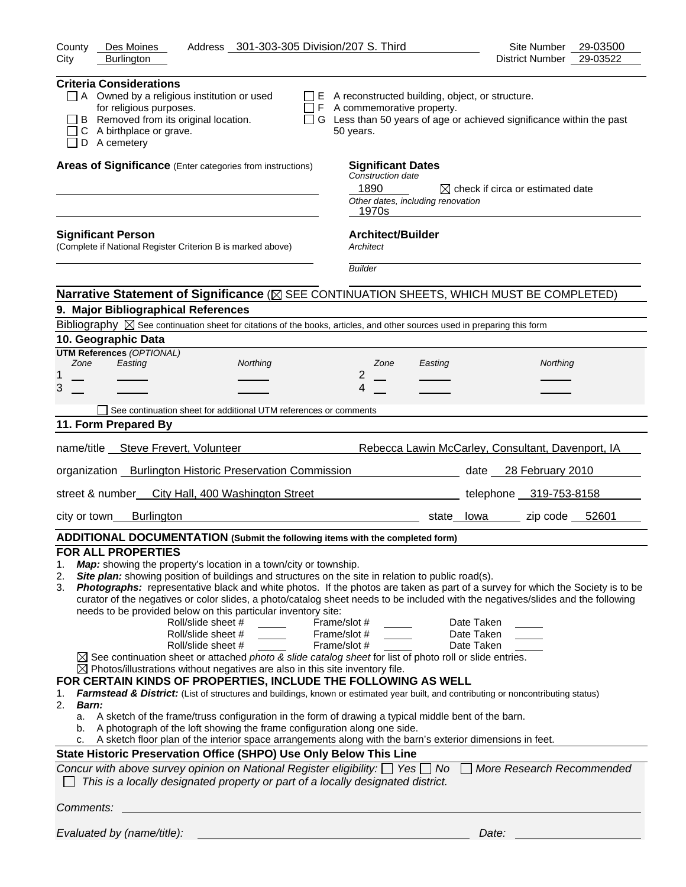| District Number 29-03522<br>City<br><b>Burlington</b><br><b>Criteria Considerations</b><br>$\Box$ A Owned by a religious institution or used<br>$\Box$ E A reconstructed building, object, or structure.<br>for religious purposes.<br>$\Box$ F A commemorative property.<br>B Removed from its original location.<br>□ G Less than 50 years of age or achieved significance within the past<br>ΙI<br>C A birthplace or grave.<br>50 years.<br>$\Box$ D A cemetery<br>Areas of Significance (Enter categories from instructions)<br><b>Significant Dates</b><br>Construction date<br>1890<br>$\boxtimes$ check if circa or estimated date<br>Other dates, including renovation<br>1970s<br><b>Architect/Builder</b><br><b>Significant Person</b><br>(Complete if National Register Criterion B is marked above)<br>Architect<br><b>Builder</b><br>Narrative Statement of Significance ( $\boxtimes$ SEE CONTINUATION SHEETS, WHICH MUST BE COMPLETED)<br>9. Major Bibliographical References<br>Bibliography $\boxtimes$ See continuation sheet for citations of the books, articles, and other sources used in preparing this form<br>10. Geographic Data<br><b>UTM References (OPTIONAL)</b><br>Zone<br>Easting<br>Northing<br>Northing<br>Zone<br>Easting<br>$\overline{2}$<br>3<br>4<br>See continuation sheet for additional UTM references or comments<br>11. Form Prepared By<br>name/title __ Steve Frevert, Volunteer<br>Rebecca Lawin McCarley, Consultant, Davenport, IA<br>organization Burlington Historic Preservation Commission<br>date 28 February 2010<br>street & number_ City Hall, 400 Washington Street<br>telephone 319-753-8158<br><b>Burlington</b><br>zip code 52601<br>city or town<br>state lowa<br>ADDITIONAL DOCUMENTATION (Submit the following items with the completed form)<br><b>FOR ALL PROPERTIES</b><br>Map: showing the property's location in a town/city or township.<br>1.<br>Site plan: showing position of buildings and structures on the site in relation to public road(s).<br>2.<br>Photographs: representative black and white photos. If the photos are taken as part of a survey for which the Society is to be<br>3.<br>curator of the negatives or color slides, a photo/catalog sheet needs to be included with the negatives/slides and the following<br>needs to be provided below on this particular inventory site:<br>Roll/slide sheet #<br>Frame/slot #<br>Date Taken<br>Roll/slide sheet #<br>Frame/slot #<br>Date Taken<br>Roll/slide sheet #<br>Frame/slot #<br>Date Taken<br>$\boxtimes$ See continuation sheet or attached <i>photo &amp; slide catalog sheet</i> for list of photo roll or slide entries.<br>$\boxtimes$ Photos/illustrations without negatives are also in this site inventory file.<br>FOR CERTAIN KINDS OF PROPERTIES, INCLUDE THE FOLLOWING AS WELL<br>Farmstead & District: (List of structures and buildings, known or estimated year built, and contributing or noncontributing status)<br>1.<br>2.<br>Barn:<br>a. A sketch of the frame/truss configuration in the form of drawing a typical middle bent of the barn.<br>A photograph of the loft showing the frame configuration along one side.<br>b.<br>c. A sketch floor plan of the interior space arrangements along with the barn's exterior dimensions in feet.<br>State Historic Preservation Office (SHPO) Use Only Below This Line<br>Concur with above survey opinion on National Register eligibility: $\Box$ Yes $\Box$ No<br>More Research Recommended<br>This is a locally designated property or part of a locally designated district.<br>Comments:<br>Evaluated by (name/title):<br>Date: | Address 301-303-305 Division/207 S. Third<br>Des Moines<br>County | Site Number 29-03500 |
|--------------------------------------------------------------------------------------------------------------------------------------------------------------------------------------------------------------------------------------------------------------------------------------------------------------------------------------------------------------------------------------------------------------------------------------------------------------------------------------------------------------------------------------------------------------------------------------------------------------------------------------------------------------------------------------------------------------------------------------------------------------------------------------------------------------------------------------------------------------------------------------------------------------------------------------------------------------------------------------------------------------------------------------------------------------------------------------------------------------------------------------------------------------------------------------------------------------------------------------------------------------------------------------------------------------------------------------------------------------------------------------------------------------------------------------------------------------------------------------------------------------------------------------------------------------------------------------------------------------------------------------------------------------------------------------------------------------------------------------------------------------------------------------------------------------------------------------------------------------------------------------------------------------------------------------------------------------------------------------------------------------------------------------------------------------------------------------------------------------------------------------------------------------------------------------------------------------------------------------------------------------------------------------------------------------------------------------------------------------------------------------------------------------------------------------------------------------------------------------------------------------------------------------------------------------------------------------------------------------------------------------------------------------------------------------------------------------------------------------------------------------------------------------------------------------------------------------------------------------------------------------------------------------------------------------------------------------------------------------------------------------------------------------------------------------------------------------------------------------------------------------------------------------------------------------------------------------------------------------------------------------------------------------------------------------------------------------------------------------------------------------------------------------------------------------------------------------------------------------------------------------------------------------------------------------------------------------------------------------------------------------------------------|-------------------------------------------------------------------|----------------------|
|                                                                                                                                                                                                                                                                                                                                                                                                                                                                                                                                                                                                                                                                                                                                                                                                                                                                                                                                                                                                                                                                                                                                                                                                                                                                                                                                                                                                                                                                                                                                                                                                                                                                                                                                                                                                                                                                                                                                                                                                                                                                                                                                                                                                                                                                                                                                                                                                                                                                                                                                                                                                                                                                                                                                                                                                                                                                                                                                                                                                                                                                                                                                                                                                                                                                                                                                                                                                                                                                                                                                                                                                                                                        |                                                                   |                      |
|                                                                                                                                                                                                                                                                                                                                                                                                                                                                                                                                                                                                                                                                                                                                                                                                                                                                                                                                                                                                                                                                                                                                                                                                                                                                                                                                                                                                                                                                                                                                                                                                                                                                                                                                                                                                                                                                                                                                                                                                                                                                                                                                                                                                                                                                                                                                                                                                                                                                                                                                                                                                                                                                                                                                                                                                                                                                                                                                                                                                                                                                                                                                                                                                                                                                                                                                                                                                                                                                                                                                                                                                                                                        |                                                                   |                      |
|                                                                                                                                                                                                                                                                                                                                                                                                                                                                                                                                                                                                                                                                                                                                                                                                                                                                                                                                                                                                                                                                                                                                                                                                                                                                                                                                                                                                                                                                                                                                                                                                                                                                                                                                                                                                                                                                                                                                                                                                                                                                                                                                                                                                                                                                                                                                                                                                                                                                                                                                                                                                                                                                                                                                                                                                                                                                                                                                                                                                                                                                                                                                                                                                                                                                                                                                                                                                                                                                                                                                                                                                                                                        |                                                                   |                      |
|                                                                                                                                                                                                                                                                                                                                                                                                                                                                                                                                                                                                                                                                                                                                                                                                                                                                                                                                                                                                                                                                                                                                                                                                                                                                                                                                                                                                                                                                                                                                                                                                                                                                                                                                                                                                                                                                                                                                                                                                                                                                                                                                                                                                                                                                                                                                                                                                                                                                                                                                                                                                                                                                                                                                                                                                                                                                                                                                                                                                                                                                                                                                                                                                                                                                                                                                                                                                                                                                                                                                                                                                                                                        |                                                                   |                      |
|                                                                                                                                                                                                                                                                                                                                                                                                                                                                                                                                                                                                                                                                                                                                                                                                                                                                                                                                                                                                                                                                                                                                                                                                                                                                                                                                                                                                                                                                                                                                                                                                                                                                                                                                                                                                                                                                                                                                                                                                                                                                                                                                                                                                                                                                                                                                                                                                                                                                                                                                                                                                                                                                                                                                                                                                                                                                                                                                                                                                                                                                                                                                                                                                                                                                                                                                                                                                                                                                                                                                                                                                                                                        |                                                                   |                      |
|                                                                                                                                                                                                                                                                                                                                                                                                                                                                                                                                                                                                                                                                                                                                                                                                                                                                                                                                                                                                                                                                                                                                                                                                                                                                                                                                                                                                                                                                                                                                                                                                                                                                                                                                                                                                                                                                                                                                                                                                                                                                                                                                                                                                                                                                                                                                                                                                                                                                                                                                                                                                                                                                                                                                                                                                                                                                                                                                                                                                                                                                                                                                                                                                                                                                                                                                                                                                                                                                                                                                                                                                                                                        |                                                                   |                      |
|                                                                                                                                                                                                                                                                                                                                                                                                                                                                                                                                                                                                                                                                                                                                                                                                                                                                                                                                                                                                                                                                                                                                                                                                                                                                                                                                                                                                                                                                                                                                                                                                                                                                                                                                                                                                                                                                                                                                                                                                                                                                                                                                                                                                                                                                                                                                                                                                                                                                                                                                                                                                                                                                                                                                                                                                                                                                                                                                                                                                                                                                                                                                                                                                                                                                                                                                                                                                                                                                                                                                                                                                                                                        |                                                                   |                      |
|                                                                                                                                                                                                                                                                                                                                                                                                                                                                                                                                                                                                                                                                                                                                                                                                                                                                                                                                                                                                                                                                                                                                                                                                                                                                                                                                                                                                                                                                                                                                                                                                                                                                                                                                                                                                                                                                                                                                                                                                                                                                                                                                                                                                                                                                                                                                                                                                                                                                                                                                                                                                                                                                                                                                                                                                                                                                                                                                                                                                                                                                                                                                                                                                                                                                                                                                                                                                                                                                                                                                                                                                                                                        |                                                                   |                      |
|                                                                                                                                                                                                                                                                                                                                                                                                                                                                                                                                                                                                                                                                                                                                                                                                                                                                                                                                                                                                                                                                                                                                                                                                                                                                                                                                                                                                                                                                                                                                                                                                                                                                                                                                                                                                                                                                                                                                                                                                                                                                                                                                                                                                                                                                                                                                                                                                                                                                                                                                                                                                                                                                                                                                                                                                                                                                                                                                                                                                                                                                                                                                                                                                                                                                                                                                                                                                                                                                                                                                                                                                                                                        |                                                                   |                      |
|                                                                                                                                                                                                                                                                                                                                                                                                                                                                                                                                                                                                                                                                                                                                                                                                                                                                                                                                                                                                                                                                                                                                                                                                                                                                                                                                                                                                                                                                                                                                                                                                                                                                                                                                                                                                                                                                                                                                                                                                                                                                                                                                                                                                                                                                                                                                                                                                                                                                                                                                                                                                                                                                                                                                                                                                                                                                                                                                                                                                                                                                                                                                                                                                                                                                                                                                                                                                                                                                                                                                                                                                                                                        |                                                                   |                      |
|                                                                                                                                                                                                                                                                                                                                                                                                                                                                                                                                                                                                                                                                                                                                                                                                                                                                                                                                                                                                                                                                                                                                                                                                                                                                                                                                                                                                                                                                                                                                                                                                                                                                                                                                                                                                                                                                                                                                                                                                                                                                                                                                                                                                                                                                                                                                                                                                                                                                                                                                                                                                                                                                                                                                                                                                                                                                                                                                                                                                                                                                                                                                                                                                                                                                                                                                                                                                                                                                                                                                                                                                                                                        |                                                                   |                      |
|                                                                                                                                                                                                                                                                                                                                                                                                                                                                                                                                                                                                                                                                                                                                                                                                                                                                                                                                                                                                                                                                                                                                                                                                                                                                                                                                                                                                                                                                                                                                                                                                                                                                                                                                                                                                                                                                                                                                                                                                                                                                                                                                                                                                                                                                                                                                                                                                                                                                                                                                                                                                                                                                                                                                                                                                                                                                                                                                                                                                                                                                                                                                                                                                                                                                                                                                                                                                                                                                                                                                                                                                                                                        |                                                                   |                      |
|                                                                                                                                                                                                                                                                                                                                                                                                                                                                                                                                                                                                                                                                                                                                                                                                                                                                                                                                                                                                                                                                                                                                                                                                                                                                                                                                                                                                                                                                                                                                                                                                                                                                                                                                                                                                                                                                                                                                                                                                                                                                                                                                                                                                                                                                                                                                                                                                                                                                                                                                                                                                                                                                                                                                                                                                                                                                                                                                                                                                                                                                                                                                                                                                                                                                                                                                                                                                                                                                                                                                                                                                                                                        |                                                                   |                      |
|                                                                                                                                                                                                                                                                                                                                                                                                                                                                                                                                                                                                                                                                                                                                                                                                                                                                                                                                                                                                                                                                                                                                                                                                                                                                                                                                                                                                                                                                                                                                                                                                                                                                                                                                                                                                                                                                                                                                                                                                                                                                                                                                                                                                                                                                                                                                                                                                                                                                                                                                                                                                                                                                                                                                                                                                                                                                                                                                                                                                                                                                                                                                                                                                                                                                                                                                                                                                                                                                                                                                                                                                                                                        |                                                                   |                      |
|                                                                                                                                                                                                                                                                                                                                                                                                                                                                                                                                                                                                                                                                                                                                                                                                                                                                                                                                                                                                                                                                                                                                                                                                                                                                                                                                                                                                                                                                                                                                                                                                                                                                                                                                                                                                                                                                                                                                                                                                                                                                                                                                                                                                                                                                                                                                                                                                                                                                                                                                                                                                                                                                                                                                                                                                                                                                                                                                                                                                                                                                                                                                                                                                                                                                                                                                                                                                                                                                                                                                                                                                                                                        |                                                                   |                      |
|                                                                                                                                                                                                                                                                                                                                                                                                                                                                                                                                                                                                                                                                                                                                                                                                                                                                                                                                                                                                                                                                                                                                                                                                                                                                                                                                                                                                                                                                                                                                                                                                                                                                                                                                                                                                                                                                                                                                                                                                                                                                                                                                                                                                                                                                                                                                                                                                                                                                                                                                                                                                                                                                                                                                                                                                                                                                                                                                                                                                                                                                                                                                                                                                                                                                                                                                                                                                                                                                                                                                                                                                                                                        |                                                                   |                      |
|                                                                                                                                                                                                                                                                                                                                                                                                                                                                                                                                                                                                                                                                                                                                                                                                                                                                                                                                                                                                                                                                                                                                                                                                                                                                                                                                                                                                                                                                                                                                                                                                                                                                                                                                                                                                                                                                                                                                                                                                                                                                                                                                                                                                                                                                                                                                                                                                                                                                                                                                                                                                                                                                                                                                                                                                                                                                                                                                                                                                                                                                                                                                                                                                                                                                                                                                                                                                                                                                                                                                                                                                                                                        |                                                                   |                      |
|                                                                                                                                                                                                                                                                                                                                                                                                                                                                                                                                                                                                                                                                                                                                                                                                                                                                                                                                                                                                                                                                                                                                                                                                                                                                                                                                                                                                                                                                                                                                                                                                                                                                                                                                                                                                                                                                                                                                                                                                                                                                                                                                                                                                                                                                                                                                                                                                                                                                                                                                                                                                                                                                                                                                                                                                                                                                                                                                                                                                                                                                                                                                                                                                                                                                                                                                                                                                                                                                                                                                                                                                                                                        |                                                                   |                      |
|                                                                                                                                                                                                                                                                                                                                                                                                                                                                                                                                                                                                                                                                                                                                                                                                                                                                                                                                                                                                                                                                                                                                                                                                                                                                                                                                                                                                                                                                                                                                                                                                                                                                                                                                                                                                                                                                                                                                                                                                                                                                                                                                                                                                                                                                                                                                                                                                                                                                                                                                                                                                                                                                                                                                                                                                                                                                                                                                                                                                                                                                                                                                                                                                                                                                                                                                                                                                                                                                                                                                                                                                                                                        |                                                                   |                      |
|                                                                                                                                                                                                                                                                                                                                                                                                                                                                                                                                                                                                                                                                                                                                                                                                                                                                                                                                                                                                                                                                                                                                                                                                                                                                                                                                                                                                                                                                                                                                                                                                                                                                                                                                                                                                                                                                                                                                                                                                                                                                                                                                                                                                                                                                                                                                                                                                                                                                                                                                                                                                                                                                                                                                                                                                                                                                                                                                                                                                                                                                                                                                                                                                                                                                                                                                                                                                                                                                                                                                                                                                                                                        |                                                                   |                      |
|                                                                                                                                                                                                                                                                                                                                                                                                                                                                                                                                                                                                                                                                                                                                                                                                                                                                                                                                                                                                                                                                                                                                                                                                                                                                                                                                                                                                                                                                                                                                                                                                                                                                                                                                                                                                                                                                                                                                                                                                                                                                                                                                                                                                                                                                                                                                                                                                                                                                                                                                                                                                                                                                                                                                                                                                                                                                                                                                                                                                                                                                                                                                                                                                                                                                                                                                                                                                                                                                                                                                                                                                                                                        |                                                                   |                      |
|                                                                                                                                                                                                                                                                                                                                                                                                                                                                                                                                                                                                                                                                                                                                                                                                                                                                                                                                                                                                                                                                                                                                                                                                                                                                                                                                                                                                                                                                                                                                                                                                                                                                                                                                                                                                                                                                                                                                                                                                                                                                                                                                                                                                                                                                                                                                                                                                                                                                                                                                                                                                                                                                                                                                                                                                                                                                                                                                                                                                                                                                                                                                                                                                                                                                                                                                                                                                                                                                                                                                                                                                                                                        |                                                                   |                      |
|                                                                                                                                                                                                                                                                                                                                                                                                                                                                                                                                                                                                                                                                                                                                                                                                                                                                                                                                                                                                                                                                                                                                                                                                                                                                                                                                                                                                                                                                                                                                                                                                                                                                                                                                                                                                                                                                                                                                                                                                                                                                                                                                                                                                                                                                                                                                                                                                                                                                                                                                                                                                                                                                                                                                                                                                                                                                                                                                                                                                                                                                                                                                                                                                                                                                                                                                                                                                                                                                                                                                                                                                                                                        |                                                                   |                      |
|                                                                                                                                                                                                                                                                                                                                                                                                                                                                                                                                                                                                                                                                                                                                                                                                                                                                                                                                                                                                                                                                                                                                                                                                                                                                                                                                                                                                                                                                                                                                                                                                                                                                                                                                                                                                                                                                                                                                                                                                                                                                                                                                                                                                                                                                                                                                                                                                                                                                                                                                                                                                                                                                                                                                                                                                                                                                                                                                                                                                                                                                                                                                                                                                                                                                                                                                                                                                                                                                                                                                                                                                                                                        |                                                                   |                      |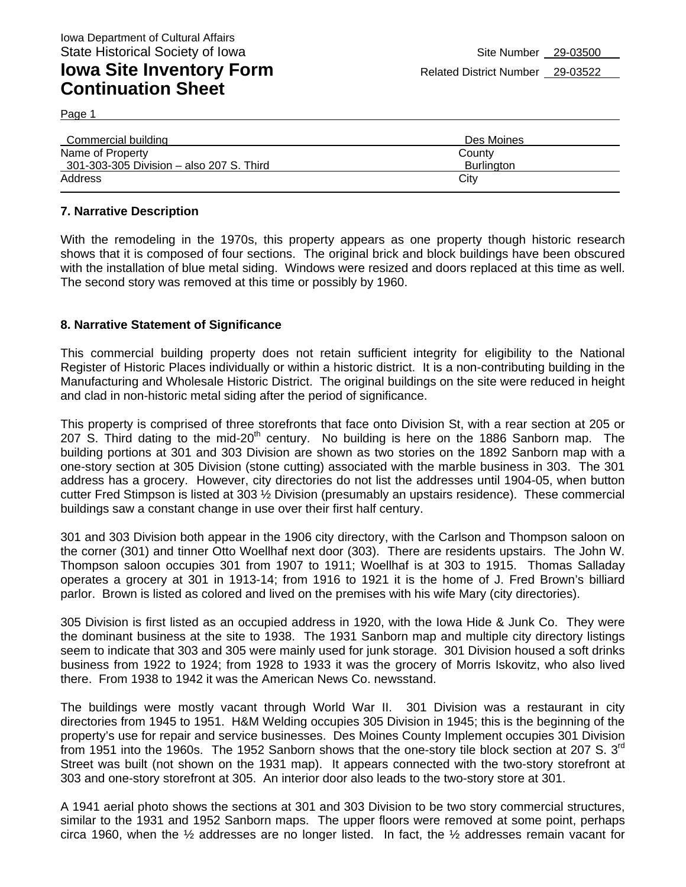Page 1

| Des Moines        |
|-------------------|
| County            |
| <b>Burlington</b> |
| City              |
|                   |

### **7. Narrative Description**

With the remodeling in the 1970s, this property appears as one property though historic research shows that it is composed of four sections. The original brick and block buildings have been obscured with the installation of blue metal siding. Windows were resized and doors replaced at this time as well. The second story was removed at this time or possibly by 1960.

#### **8. Narrative Statement of Significance**

This commercial building property does not retain sufficient integrity for eligibility to the National Register of Historic Places individually or within a historic district. It is a non-contributing building in the Manufacturing and Wholesale Historic District. The original buildings on the site were reduced in height and clad in non-historic metal siding after the period of significance.

This property is comprised of three storefronts that face onto Division St, with a rear section at 205 or 207 S. Third dating to the mid-20<sup>th</sup> century. No building is here on the 1886 Sanborn map. The building portions at 301 and 303 Division are shown as two stories on the 1892 Sanborn map with a one-story section at 305 Division (stone cutting) associated with the marble business in 303. The 301 address has a grocery. However, city directories do not list the addresses until 1904-05, when button cutter Fred Stimpson is listed at 303 ½ Division (presumably an upstairs residence). These commercial buildings saw a constant change in use over their first half century.

301 and 303 Division both appear in the 1906 city directory, with the Carlson and Thompson saloon on the corner (301) and tinner Otto Woellhaf next door (303). There are residents upstairs. The John W. Thompson saloon occupies 301 from 1907 to 1911; Woellhaf is at 303 to 1915. Thomas Salladay operates a grocery at 301 in 1913-14; from 1916 to 1921 it is the home of J. Fred Brown's billiard parlor. Brown is listed as colored and lived on the premises with his wife Mary (city directories).

305 Division is first listed as an occupied address in 1920, with the Iowa Hide & Junk Co. They were the dominant business at the site to 1938. The 1931 Sanborn map and multiple city directory listings seem to indicate that 303 and 305 were mainly used for junk storage. 301 Division housed a soft drinks business from 1922 to 1924; from 1928 to 1933 it was the grocery of Morris Iskovitz, who also lived there. From 1938 to 1942 it was the American News Co. newsstand.

The buildings were mostly vacant through World War II. 301 Division was a restaurant in city directories from 1945 to 1951. H&M Welding occupies 305 Division in 1945; this is the beginning of the property's use for repair and service businesses. Des Moines County Implement occupies 301 Division from 1951 into the 1960s. The 1952 Sanborn shows that the one-story tile block section at 207 S. 3<sup>rd</sup> Street was built (not shown on the 1931 map). It appears connected with the two-story storefront at 303 and one-story storefront at 305. An interior door also leads to the two-story store at 301.

A 1941 aerial photo shows the sections at 301 and 303 Division to be two story commercial structures, similar to the 1931 and 1952 Sanborn maps. The upper floors were removed at some point, perhaps circa 1960, when the ½ addresses are no longer listed. In fact, the ½ addresses remain vacant for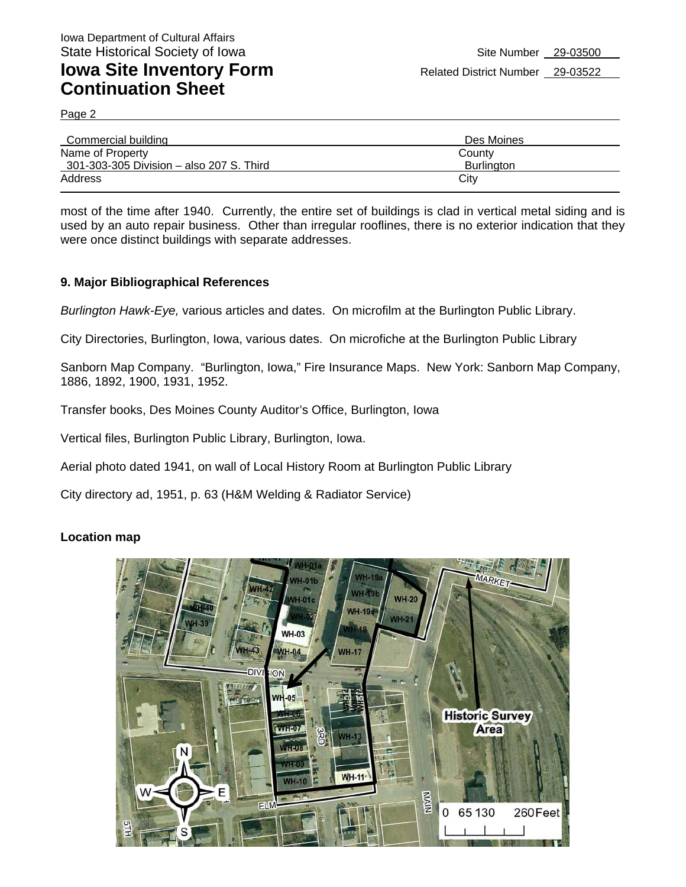Page 2

| Commercial building                      | Des Moines        |
|------------------------------------------|-------------------|
| Name of Property                         | County            |
| 301-303-305 Division - also 207 S. Third | <b>Burlington</b> |
| Address                                  | Citv              |
|                                          |                   |

most of the time after 1940. Currently, the entire set of buildings is clad in vertical metal siding and is used by an auto repair business. Other than irregular rooflines, there is no exterior indication that they were once distinct buildings with separate addresses.

#### **9. Major Bibliographical References**

*Burlington Hawk-Eye,* various articles and dates. On microfilm at the Burlington Public Library.

City Directories, Burlington, Iowa, various dates. On microfiche at the Burlington Public Library

Sanborn Map Company. "Burlington, Iowa," Fire Insurance Maps. New York: Sanborn Map Company, 1886, 1892, 1900, 1931, 1952.

Transfer books, Des Moines County Auditor's Office, Burlington, Iowa

Vertical files, Burlington Public Library, Burlington, Iowa.

Aerial photo dated 1941, on wall of Local History Room at Burlington Public Library

City directory ad, 1951, p. 63 (H&M Welding & Radiator Service)

#### **Location map**

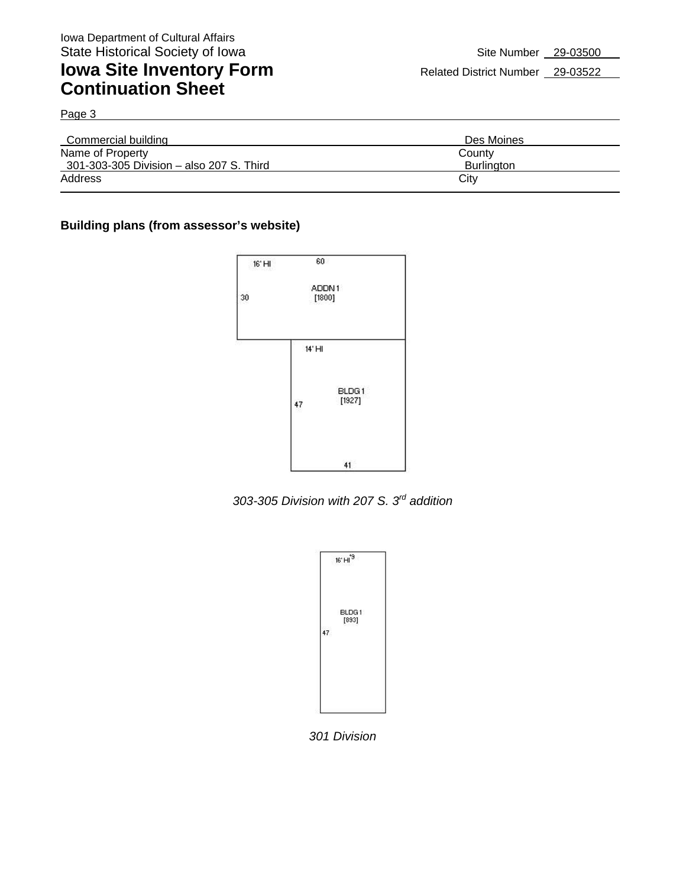Page 3

| Commercial building                      | Des Moines |
|------------------------------------------|------------|
| Name of Property                         | County     |
| 301-303-305 Division - also 207 S. Third | Burlington |
| Address                                  | City       |
|                                          |            |

### **Building plans (from assessor's website)**



*303-305 Division with 207 S. 3rd addition* 

|    | 16' H <sup>19</sup> |  |
|----|---------------------|--|
| 47 | BLDG1<br>[893]      |  |
|    |                     |  |

*301 Division*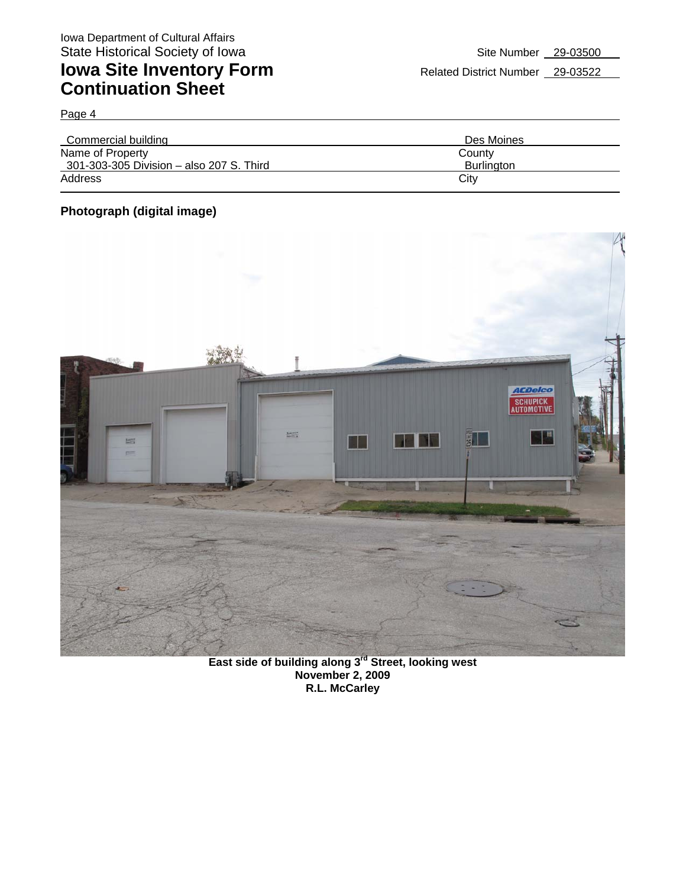Page 4

| Des Moines        |
|-------------------|
| County            |
| <b>Burlington</b> |
| City              |
|                   |

### **Photograph (digital image)**



**East side of building along 3rd Street, looking west November 2, 2009 R.L. McCarley**